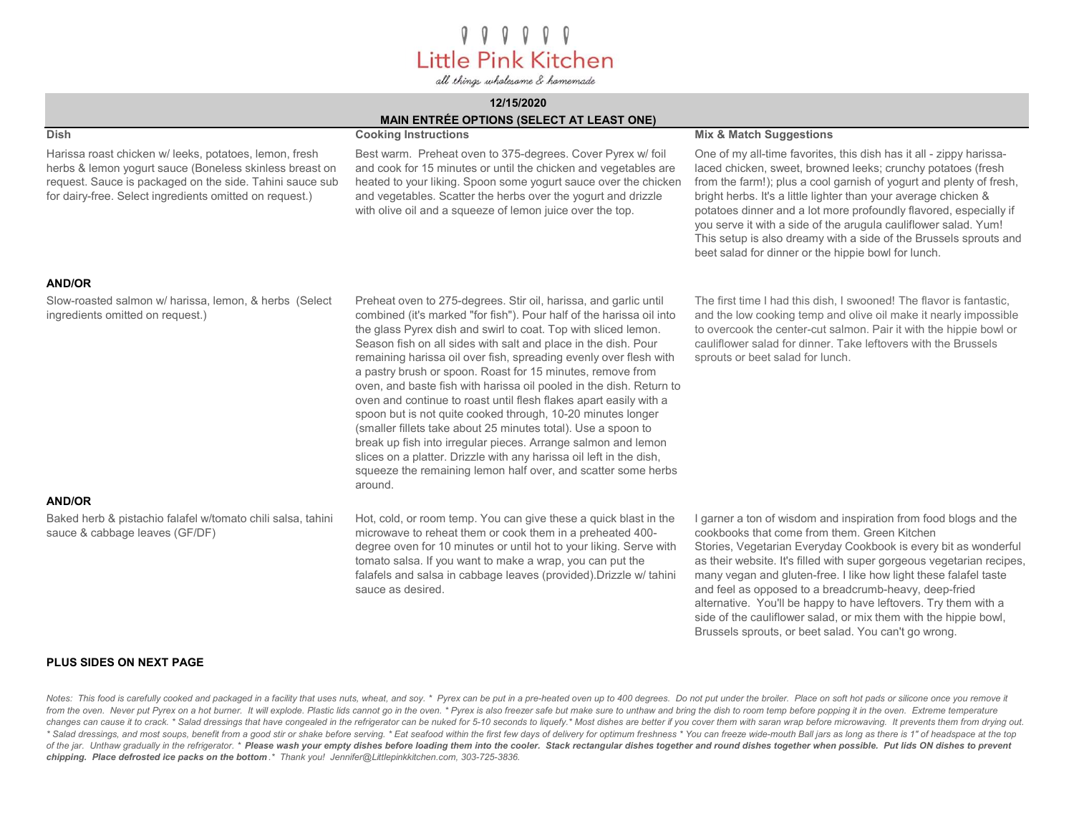# $000000$ Little Pink Kitchen

all things wholesome & homemade

### 12/15/2020

# MAIN ENTRÉE OPTIONS (SELECT AT LEAST ONE)

| <b>Dish</b>                                                                                                                                                                                                                             | <b>Cooking Instructions</b>                                                                                                                                                                                                                                                                                                                                                                                                                                                                                                                                                                                                                                                                                                                                                                                                                                                                                     | <b>Mix &amp; Match Suggestions</b>                                                                                                                                                                                                                                                                                                                                                                                                                                                                                                                |
|-----------------------------------------------------------------------------------------------------------------------------------------------------------------------------------------------------------------------------------------|-----------------------------------------------------------------------------------------------------------------------------------------------------------------------------------------------------------------------------------------------------------------------------------------------------------------------------------------------------------------------------------------------------------------------------------------------------------------------------------------------------------------------------------------------------------------------------------------------------------------------------------------------------------------------------------------------------------------------------------------------------------------------------------------------------------------------------------------------------------------------------------------------------------------|---------------------------------------------------------------------------------------------------------------------------------------------------------------------------------------------------------------------------------------------------------------------------------------------------------------------------------------------------------------------------------------------------------------------------------------------------------------------------------------------------------------------------------------------------|
| Harissa roast chicken w/leeks, potatoes, lemon, fresh<br>herbs & lemon yogurt sauce (Boneless skinless breast on<br>request. Sauce is packaged on the side. Tahini sauce sub<br>for dairy-free. Select ingredients omitted on request.) | Best warm. Preheat oven to 375-degrees. Cover Pyrex w/ foil<br>and cook for 15 minutes or until the chicken and vegetables are<br>heated to your liking. Spoon some yogurt sauce over the chicken<br>and vegetables. Scatter the herbs over the yogurt and drizzle<br>with olive oil and a squeeze of lemon juice over the top.                                                                                                                                                                                                                                                                                                                                                                                                                                                                                                                                                                                 | One of my all-time favorites, this dish has it all - zippy harissa-<br>laced chicken, sweet, browned leeks; crunchy potatoes (fresh<br>from the farm!); plus a cool garnish of yogurt and plenty of fresh,<br>bright herbs. It's a little lighter than your average chicken &<br>potatoes dinner and a lot more profoundly flavored, especially if<br>you serve it with a side of the arugula cauliflower salad. Yum!<br>This setup is also dreamy with a side of the Brussels sprouts and<br>beet salad for dinner or the hippie bowl for lunch. |
| <b>AND/OR</b>                                                                                                                                                                                                                           |                                                                                                                                                                                                                                                                                                                                                                                                                                                                                                                                                                                                                                                                                                                                                                                                                                                                                                                 |                                                                                                                                                                                                                                                                                                                                                                                                                                                                                                                                                   |
| Slow-roasted salmon w/ harissa, lemon, & herbs (Select<br>ingredients omitted on request.)                                                                                                                                              | Preheat oven to 275-degrees. Stir oil, harissa, and garlic until<br>combined (it's marked "for fish"). Pour half of the harissa oil into<br>the glass Pyrex dish and swirl to coat. Top with sliced lemon.<br>Season fish on all sides with salt and place in the dish. Pour<br>remaining harissa oil over fish, spreading evenly over flesh with<br>a pastry brush or spoon. Roast for 15 minutes, remove from<br>oven, and baste fish with harissa oil pooled in the dish. Return to<br>oven and continue to roast until flesh flakes apart easily with a<br>spoon but is not quite cooked through, 10-20 minutes longer<br>(smaller fillets take about 25 minutes total). Use a spoon to<br>break up fish into irregular pieces. Arrange salmon and lemon<br>slices on a platter. Drizzle with any harissa oil left in the dish,<br>squeeze the remaining lemon half over, and scatter some herbs<br>around. | The first time I had this dish, I swooned! The flavor is fantastic,<br>and the low cooking temp and olive oil make it nearly impossible<br>to overcook the center-cut salmon. Pair it with the hippie bowl or<br>cauliflower salad for dinner. Take leftovers with the Brussels<br>sprouts or beet salad for lunch.                                                                                                                                                                                                                               |
| <b>AND/OR</b>                                                                                                                                                                                                                           |                                                                                                                                                                                                                                                                                                                                                                                                                                                                                                                                                                                                                                                                                                                                                                                                                                                                                                                 |                                                                                                                                                                                                                                                                                                                                                                                                                                                                                                                                                   |
| Baked herb & pistachio falafel w/tomato chili salsa, tahini<br>sauce & cabbage leaves (GF/DF)                                                                                                                                           | Hot, cold, or room temp. You can give these a quick blast in the<br>microwave to reheat them or cook them in a preheated 400-<br>degree oven for 10 minutes or until hot to your liking. Serve with<br>tomato salsa. If you want to make a wrap, you can put the<br>falafels and salsa in cabbage leaves (provided). Drizzle w/ tahini<br>sauce as desired.                                                                                                                                                                                                                                                                                                                                                                                                                                                                                                                                                     | I garner a ton of wisdom and inspiration from food blogs and the<br>cookbooks that come from them. Green Kitchen<br>Stories, Vegetarian Everyday Cookbook is every bit as wonderful<br>as their website. It's filled with super gorgeous vegetarian recipes,<br>many vegan and gluten-free. I like how light these falafel taste<br>and feel as opposed to a breadcrumb-heavy, deep-fried<br>alternative. You'll be happy to have leftovers. Try them with a                                                                                      |

#### PLUS SIDES ON NEXT PAGE

Notes: This food is carefully cooked and packaged in a facility that uses nuts, wheat, and soy. \* Pyrex can be put in a pre-heated oven up to 400 degrees. Do not put under the broiler. Place on soft hot pads or silicone on from the oven. Never put Pyrex on a hot burner. It will explode. Plastic lids cannot go in the oven. \* Pyrex is also freezer safe but make sure to unthaw and bring the dish to room temp before popping it in the oven. Extre changes can cause it to crack. \* Salad dressings that have congealed in the refrigerator can be nuked for 5-10 seconds to liquefy.\* Most dishes are better if you cover them with saran wrap before microwaving. It prevents t \* Salad dressings, and most soups, benefit from a good stir or shake before serving. \* Eat seafood within the first few days of delivery for optimum freshness \* You can freeze wide-mouth Ball jars as long as there is 1" of of the jar. Unthaw gradually in the refrigerator. \* Please wash your empty dishes before loading them into the cooler. Stack rectangular dishes together and round dishes together when possible. Put lids ON dishes to preven chipping. Place defrosted ice packs on the bottom .\* Thank you! Jennifer@Littlepinkkitchen.com, 303-725-3836.

side of the cauliflower salad, or mix them with the hippie bowl,

Brussels sprouts, or beet salad. You can't go wrong.